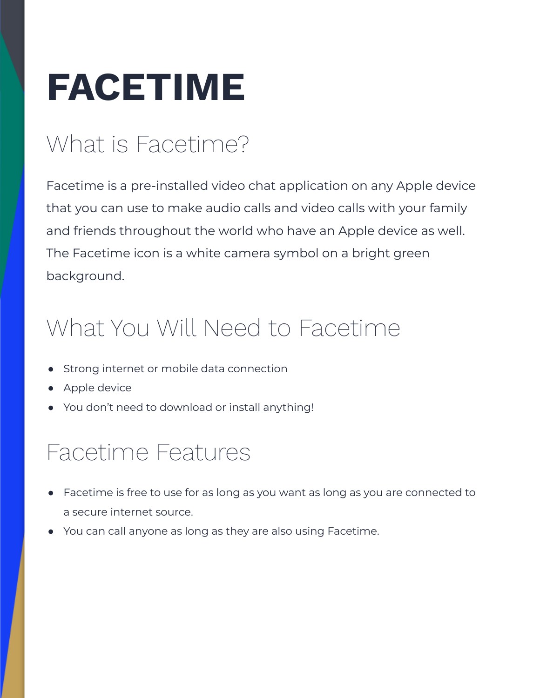# **FACETIME**

# What is Facetime?

Facetime is a pre-installed video chat application on any Apple device that you can use to make audio calls and video calls with your family and friends throughout the world who have an Apple device as well. The Facetime icon is a white camera symbol on a bright green background.

## What You Will Need to Facetime

- **●** Strong internet or mobile data connection
- **●** Apple device
- **●** You don't need to download or install anything!

#### Facetime Features

- **●** Facetime is free to use for as long as you want as long as you are connected to a secure internet source.
- **●** You can call anyone as long as they are also using Facetime.